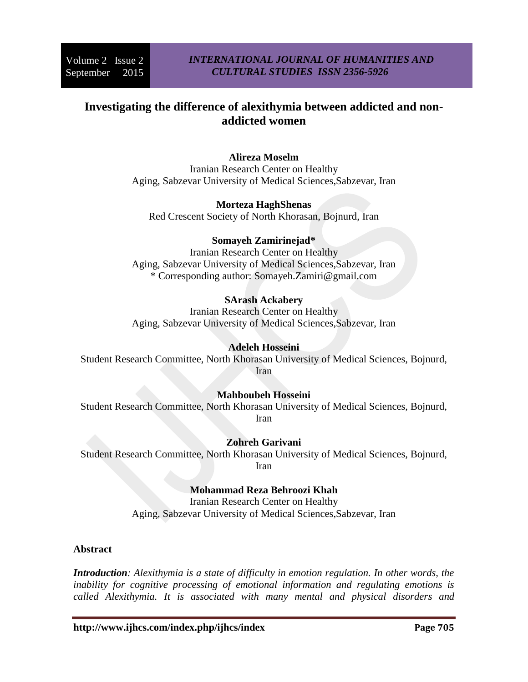# **Investigating the difference of alexithymia between addicted and nonaddicted women**

# **Alireza Moselm**

Iranian Research Center on Healthy Aging, Sabzevar University of Medical Sciences,Sabzevar, Iran

#### **Morteza HaghShenas**

Red Crescent Society of North Khorasan, Bojnurd, Iran

# **Somayeh Zamirinejad\***

Iranian Research Center on Healthy Aging, Sabzevar University of Medical Sciences,Sabzevar, Iran \* Corresponding author: [Somayeh.Zamiri@gmail.com](mailto:Somayeh.Zamiri@gmail.com)

# **SArash Ackabery**

Iranian Research Center on Healthy Aging, Sabzevar University of Medical Sciences,Sabzevar, Iran

## **Adeleh Hosseini**

Student Research Committee, North Khorasan University of Medical Sciences, Bojnurd, Iran

#### **Mahboubeh Hosseini**

Student Research Committee, North Khorasan University of Medical Sciences, Bojnurd, Iran

#### **Zohreh Garivani**

Student Research Committee, North Khorasan University of Medical Sciences, Bojnurd, Iran

# **Mohammad Reza Behroozi Khah**

Iranian Research Center on Healthy Aging, Sabzevar University of Medical Sciences,Sabzevar, Iran

#### **Abstract**

*Introduction: Alexithymia is a state of difficulty in emotion regulation. In other words, the inability for cognitive processing of emotional information and regulating emotions is called Alexithymia. It is associated with many mental and physical disorders and*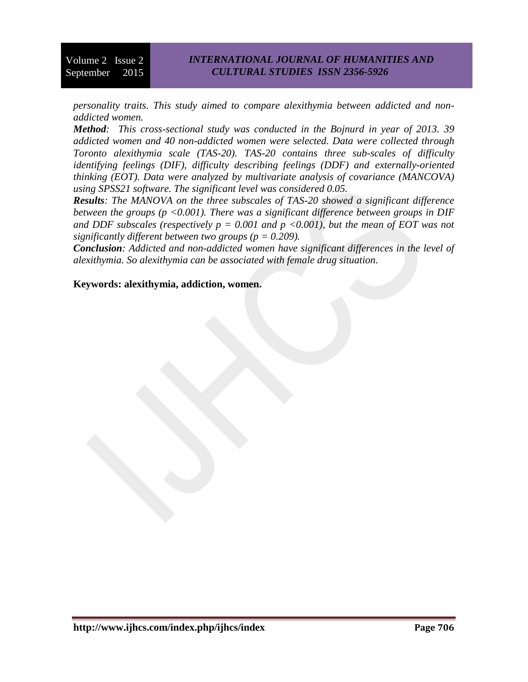*personality traits. This study aimed to compare alexithymia between addicted and nonaddicted women.*

*Method: This cross-sectional study was conducted in the Bojnurd in year of 2013. 39 addicted women and 40 non-addicted women were selected. Data were collected through Toronto alexithymia scale (TAS-20). TAS-20 contains three sub-scales of difficulty identifying feelings (DIF), difficulty describing feelings (DDF) and externally-oriented thinking (EOT). Data were analyzed by multivariate analysis of covariance (MANCOVA) using SPSS21 software. The significant level was considered 0.05.*

*Results: The MANOVA on the three subscales of TAS-20 showed a significant difference between the groups (p <0.001). There was a significant difference between groups in DIF*  and DDF subscales (respectively  $p = 0.001$  and  $p \le 0.001$ ), but the mean of EOT was not *significantly different between two groups (p = 0.209).*

*Conclusion: Addicted and non-addicted women have significant differences in the level of alexithymia. So alexithymia can be associated with female drug situation.*

#### **Keywords: alexithymia, addiction, women.**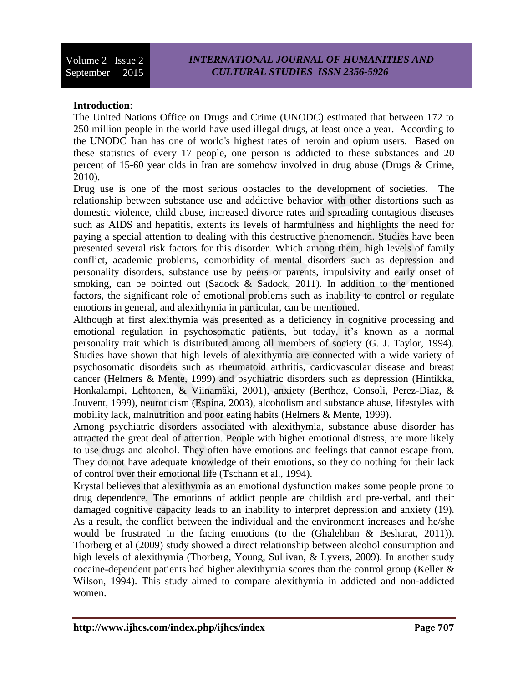#### **Introduction**:

The United Nations Office on Drugs and Crime (UNODC) estimated that between 172 to 250 million people in the world have used illegal drugs, at least once a year. According to the UNODC Iran has one of world's highest rates of heroin and opium users. Based on these statistics of every 17 people, one person is addicted to these substances and 20 percent of 15-60 year olds in Iran are somehow involved in drug abuse [\(Drugs & Crime,](#page-6-0)  [2010\)](#page-6-0).

Drug use is one of the most serious obstacles to the development of societies. The relationship between substance use and addictive behavior with other distortions such as domestic violence, child abuse, increased divorce rates and spreading contagious diseases such as AIDS and hepatitis, extents its levels of harmfulness and highlights the need for paying a special attention to dealing with this destructive phenomenon. Studies have been presented several risk factors for this disorder. Which among them, high levels of family conflict, academic problems, comorbidity of mental disorders such as depression and personality disorders, substance use by peers or parents, impulsivity and early onset of smoking, can be pointed out [\(Sadock & Sadock, 2011\)](#page-7-0). In addition to the mentioned factors, the significant role of emotional problems such as inability to control or regulate emotions in general, and alexithymia in particular, can be mentioned.

Although at first alexithymia was presented as a deficiency in cognitive processing and emotional regulation in psychosomatic patients, but today, it's known as a normal personality trait which is distributed among all members of society [\(G. J. Taylor, 1994\)](#page-8-0). Studies have shown that high levels of alexithymia are connected with a wide variety of psychosomatic disorders such as rheumatoid arthritis, cardiovascular disease and breast cancer [\(Helmers & Mente, 1999\)](#page-6-1) and psychiatric disorders such as depression [\(Hintikka,](#page-6-2)  [Honkalampi, Lehtonen, & Viinamäki, 2001\)](#page-6-2), anxiety [\(Berthoz, Consoli, Perez-Diaz, &](#page-6-3)  [Jouvent, 1999\)](#page-6-3), neuroticism [\(Espina, 2003\)](#page-6-4), alcoholism and substance abuse, lifestyles with mobility lack, malnutrition and poor eating habits [\(Helmers & Mente, 1999\)](#page-6-1).

Among psychiatric disorders associated with alexithymia, substance abuse disorder has attracted the great deal of attention. People with higher emotional distress, are more likely to use drugs and alcohol. They often have emotions and feelings that cannot escape from. They do not have adequate knowledge of their emotions, so they do nothing for their lack of control over their emotional life [\(Tschann et al., 1994\)](#page-8-1).

Krystal believes that alexithymia as an emotional dysfunction makes some people prone to drug dependence. The emotions of addict people are childish and pre-verbal, and their damaged cognitive capacity leads to an inability to interpret depression and anxiety (19). As a result, the conflict between the individual and the environment increases and he/she would be frustrated in the facing emotions (to the [\(Ghalehban & Besharat, 2011\)](#page-6-5)). Thorberg et al (2009) study showed a direct relationship between alcohol consumption and high levels of alexithymia [\(Thorberg, Young, Sullivan, & Lyvers, 2009\)](#page-8-2). In another study cocaine-dependent patients had higher alexithymia scores than the control group [\(Keller &](#page-7-1)  [Wilson, 1994\)](#page-7-1). This study aimed to compare alexithymia in addicted and non-addicted women.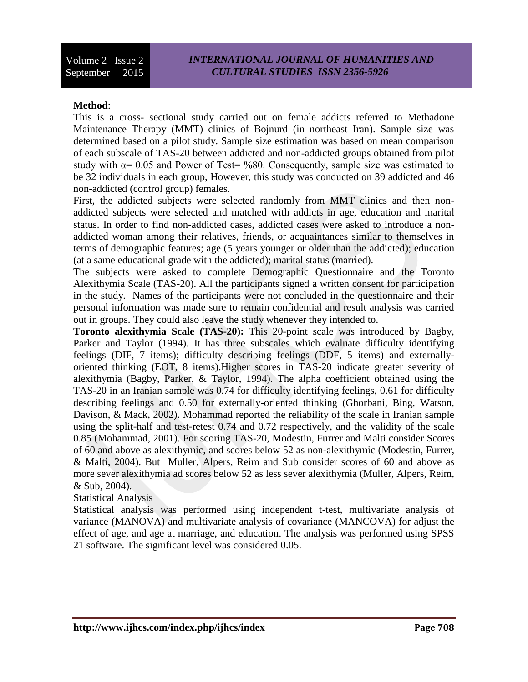#### **Method**:

This is a cross- sectional study carried out on female addicts referred to Methadone Maintenance Therapy (MMT) clinics of Bojnurd (in northeast Iran). Sample size was determined based on a pilot study. Sample size estimation was based on mean comparison of each subscale of TAS-20 between addicted and non-addicted groups obtained from pilot study with  $\alpha$ = 0.05 and Power of Test= %80. Consequently, sample size was estimated to be 32 individuals in each group, However, this study was conducted on 39 addicted and 46 non-addicted (control group) females.

First, the addicted subjects were selected randomly from MMT clinics and then nonaddicted subjects were selected and matched with addicts in age, education and marital status. In order to find non-addicted cases, addicted cases were asked to introduce a nonaddicted woman among their relatives, friends, or acquaintances similar to themselves in terms of demographic features; age (5 years younger or older than the addicted); education (at a same educational grade with the addicted); marital status (married).

The subjects were asked to complete Demographic Questionnaire and the Toronto Alexithymia Scale (TAS-20). All the participants signed a written consent for participation in the study. Names of the participants were not concluded in the questionnaire and their personal information was made sure to remain confidential and result analysis was carried out in groups. They could also leave the study whenever they intended to.

**Toronto alexithymia Scale (TAS-20):** This 20-point scale was introduced by Bagby, Parker and Taylor (1994). It has three subscales which evaluate difficulty identifying feelings (DIF, 7 items); difficulty describing feelings (DDF, 5 items) and externallyoriented thinking (EOT, 8 items).Higher scores in TAS-20 indicate greater severity of alexithymia [\(Bagby, Parker, & Taylor, 1994\)](#page-6-6). The alpha coefficient obtained using the TAS-20 in an Iranian sample was 0.74 for difficulty identifying feelings, 0.61 for difficulty describing feelings and 0.50 for externally-oriented thinking [\(Ghorbani, Bing, Watson,](#page-6-7)  [Davison, & Mack, 2002\)](#page-6-7). Mohammad reported the reliability of the scale in Iranian sample using the split-half and test-retest 0.74 and 0.72 respectively, and the validity of the scale 0.85 [\(Mohammad, 2001\)](#page-7-2). For scoring TAS-20, Modestin, Furrer and Malti consider Scores of 60 and above as alexithymic, and scores below 52 as non-alexithymic [\(Modestin, Furrer,](#page-7-3)  [& Malti, 2004\)](#page-7-3). But Muller, Alpers, Reim and Sub consider scores of 60 and above as more sever alexithymia ad scores below 52 as less sever alexithymia [\(Muller, Alpers, Reim,](#page-7-4)  [& Sub, 2004\)](#page-7-4).

Statistical Analysis

Statistical analysis was performed using independent t-test, multivariate analysis of variance (MANOVA) and multivariate analysis of covariance (MANCOVA) for adjust the effect of age, and age at marriage, and education. The analysis was performed using SPSS 21 software. The significant level was considered 0.05.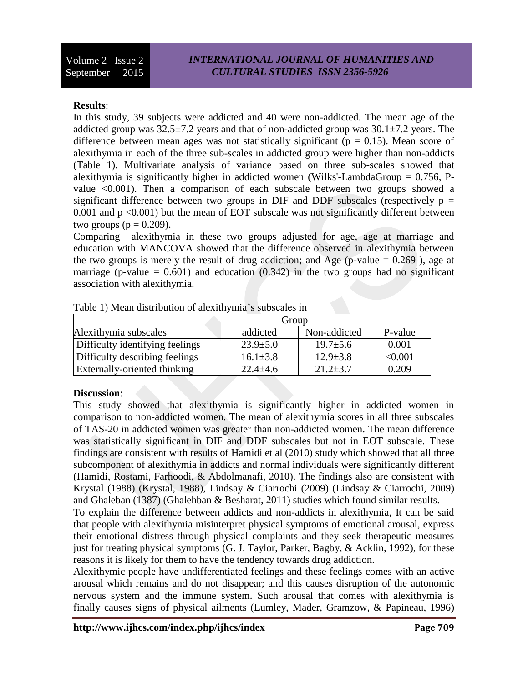#### **Results**:

In this study, 39 subjects were addicted and 40 were non-addicted. The mean age of the addicted group was  $32.5\pm7.2$  years and that of non-addicted group was  $30.1\pm7.2$  years. The difference between mean ages was not statistically significant ( $p = 0.15$ ). Mean score of alexithymia in each of the three sub-scales in addicted group were higher than non-addicts (Table 1). Multivariate analysis of variance based on three sub-scales showed that alexithymia is significantly higher in addicted women (Wilks'-LambdaGroup  $= 0.756$ , Pvalue <0.001). Then a comparison of each subscale between two groups showed a significant difference between two groups in DIF and DDF subscales (respectively  $p =$ 0.001 and  $p \le 0.001$ ) but the mean of EOT subscale was not significantly different between two groups ( $p = 0.209$ ).

Comparing alexithymia in these two groups adjusted for age, age at marriage and education with MANCOVA showed that the difference observed in alexithymia between the two groups is merely the result of drug addiction; and Age (p-value  $= 0.269$ ), age at marriage (p-value  $= 0.601$ ) and education  $(0.342)$  in the two groups had no significant association with alexithymia.

|                                 | Group          |                |         |
|---------------------------------|----------------|----------------|---------|
| Alexithymia subscales           | addicted       | Non-addicted   | P-value |
| Difficulty identifying feelings | $23.9 \pm 5.0$ | $19.7 \pm 5.6$ | 0.001   |
| Difficulty describing feelings  | $16.1 \pm 3.8$ | $12.9 \pm 3.8$ | < 0.001 |
| Externally-oriented thinking    | $22.4 \pm 4.6$ | $21.2 \pm 3.7$ | 0.209   |

Table 1) Mean distribution of alexithymia's subscales in

# **Discussion**:

This study showed that alexithymia is significantly higher in addicted women in comparison to non-addicted women. The mean of alexithymia scores in all three subscales of TAS-20 in addicted women was greater than non-addicted women. The mean difference was statistically significant in DIF and DDF subscales but not in EOT subscale. These findings are consistent with results of Hamidi et al (2010) study which showed that all three subcomponent of alexithymia in addicts and normal individuals were significantly different [\(Hamidi, Rostami, Farhoodi, & Abdolmanafi, 2010\)](#page-6-8). The findings also are consistent with Krystal (1988) [\(Krystal, 1988\)](#page-7-5), Lindsay & Ciarrochi (2009) [\(Lindsay & Ciarrochi, 2009\)](#page-7-6) and Ghaleban (1387) [\(Ghalehban & Besharat, 2011\)](#page-6-5) studies which found similar results.

To explain the difference between addicts and non-addicts in alexithymia, It can be said that people with alexithymia misinterpret physical symptoms of emotional arousal, express their emotional distress through physical complaints and they seek therapeutic measures just for treating physical symptoms [\(G. J. Taylor, Parker, Bagby, & Acklin, 1992\)](#page-8-3), for these reasons it is likely for them to have the tendency towards drug addiction.

Alexithymic people have undifferentiated feelings and these feelings comes with an active arousal which remains and do not disappear; and this causes disruption of the autonomic nervous system and the immune system. Such arousal that comes with alexithymia is finally causes signs of physical ailments [\(Lumley, Mader, Gramzow, & Papineau, 1996\)](#page-7-7)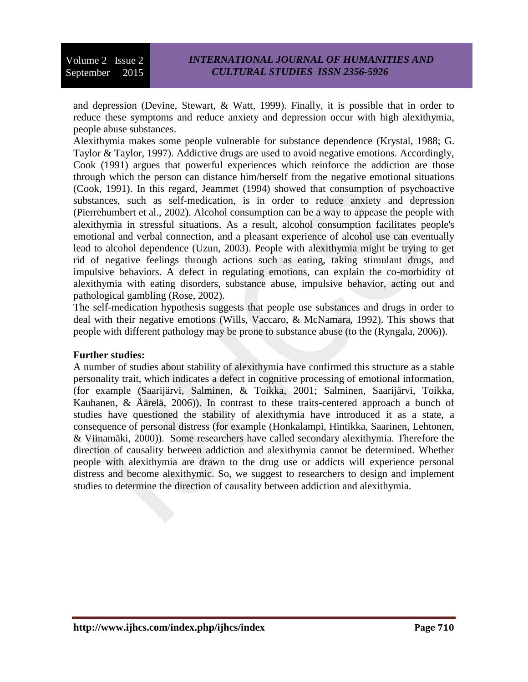and depression [\(Devine, Stewart, & Watt, 1999\)](#page-6-9). Finally, it is possible that in order to reduce these symptoms and reduce anxiety and depression occur with high alexithymia, people abuse substances.

Alexithymia makes some people vulnerable for substance dependence [\(Krystal, 1988;](#page-7-5) [G.](#page-8-4)  [Taylor & Taylor, 1997\)](#page-8-4). Addictive drugs are used to avoid negative emotions. Accordingly, Cook (1991) argues that powerful experiences which reinforce the addiction are those through which the person can distance him/herself from the negative emotional situations [\(Cook, 1991\)](#page-6-10). In this regard, Jeammet (1994) showed that consumption of psychoactive substances, such as self-medication, is in order to reduce anxiety and depression [\(Pierrehumbert et al., 2002\)](#page-7-8). Alcohol consumption can be a way to appease the people with alexithymia in stressful situations. As a result, alcohol consumption facilitates people's emotional and verbal connection, and a pleasant experience of alcohol use can eventually lead to alcohol dependence [\(Uzun, 2003\)](#page-8-5). People with alexithymia might be trying to get rid of negative feelings through actions such as eating, taking stimulant drugs, and impulsive behaviors. A defect in regulating emotions, can explain the co-morbidity of alexithymia with eating disorders, substance abuse, impulsive behavior, acting out and pathological gambling [\(Rose, 2002\)](#page-7-9).

The self-medication hypothesis suggests that people use substances and drugs in order to deal with their negative emotions [\(Wills, Vaccaro, & McNamara, 1992\)](#page-8-6). This shows that people with different pathology may be prone to substance abuse (to the [\(Ryngala, 2006\)](#page-7-10)).

#### **Further studies:**

A number of studies about stability of alexithymia have confirmed this structure as a stable personality trait, which indicates a defect in cognitive processing of emotional information, (for example [\(Saarijärvi, Salminen, & Toikka, 2001;](#page-7-11) [Salminen, Saarijärvi, Toikka,](#page-7-12)  [Kauhanen, & Äärelä, 2006\)](#page-7-12)). In contrast to these traits-centered approach a bunch of studies have questioned the stability of alexithymia have introduced it as a state, a consequence of personal distress (for example [\(Honkalampi, Hintikka, Saarinen, Lehtonen,](#page-7-13)  [& Viinamäki, 2000\)](#page-7-13)). Some researchers have called secondary alexithymia. Therefore the direction of causality between addiction and alexithymia cannot be determined. Whether people with alexithymia are drawn to the drug use or addicts will experience personal distress and become alexithymic. So, we suggest to researchers to design and implement studies to determine the direction of causality between addiction and alexithymia.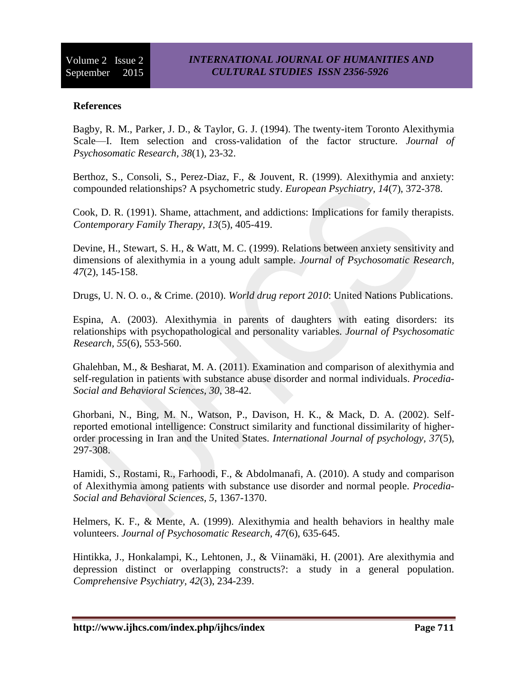## **References**

<span id="page-6-6"></span>Bagby, R. M., Parker, J. D., & Taylor, G. J. (1994). The twenty-item Toronto Alexithymia Scale—I. Item selection and cross-validation of the factor structure. *Journal of Psychosomatic Research, 38*(1), 23-32.

<span id="page-6-3"></span>Berthoz, S., Consoli, S., Perez-Diaz, F., & Jouvent, R. (1999). Alexithymia and anxiety: compounded relationships? A psychometric study. *European Psychiatry, 14*(7), 372-378.

<span id="page-6-10"></span>Cook, D. R. (1991). Shame, attachment, and addictions: Implications for family therapists. *Contemporary Family Therapy, 13*(5), 405-419.

<span id="page-6-9"></span>Devine, H., Stewart, S. H., & Watt, M. C. (1999). Relations between anxiety sensitivity and dimensions of alexithymia in a young adult sample. *Journal of Psychosomatic Research, 47*(2), 145-158.

<span id="page-6-4"></span><span id="page-6-0"></span>Drugs, U. N. O. o., & Crime. (2010). *World drug report 2010*: United Nations Publications.

Espina, A. (2003). Alexithymia in parents of daughters with eating disorders: its relationships with psychopathological and personality variables. *Journal of Psychosomatic Research, 55*(6), 553-560.

<span id="page-6-5"></span>Ghalehban, M., & Besharat, M. A. (2011). Examination and comparison of alexithymia and self-regulation in patients with substance abuse disorder and normal individuals. *Procedia-Social and Behavioral Sciences, 30*, 38-42.

<span id="page-6-7"></span>Ghorbani, N., Bing, M. N., Watson, P., Davison, H. K., & Mack, D. A. (2002). Selfreported emotional intelligence: Construct similarity and functional dissimilarity of higherorder processing in Iran and the United States. *International Journal of psychology, 37*(5), 297-308.

<span id="page-6-8"></span>Hamidi, S., Rostami, R., Farhoodi, F., & Abdolmanafi, A. (2010). A study and comparison of Alexithymia among patients with substance use disorder and normal people. *Procedia-Social and Behavioral Sciences, 5*, 1367-1370.

<span id="page-6-1"></span>Helmers, K. F., & Mente, A. (1999). Alexithymia and health behaviors in healthy male volunteers. *Journal of Psychosomatic Research, 47*(6), 635-645.

<span id="page-6-2"></span>Hintikka, J., Honkalampi, K., Lehtonen, J., & Viinamäki, H. (2001). Are alexithymia and depression distinct or overlapping constructs?: a study in a general population. *Comprehensive Psychiatry, 42*(3), 234-239.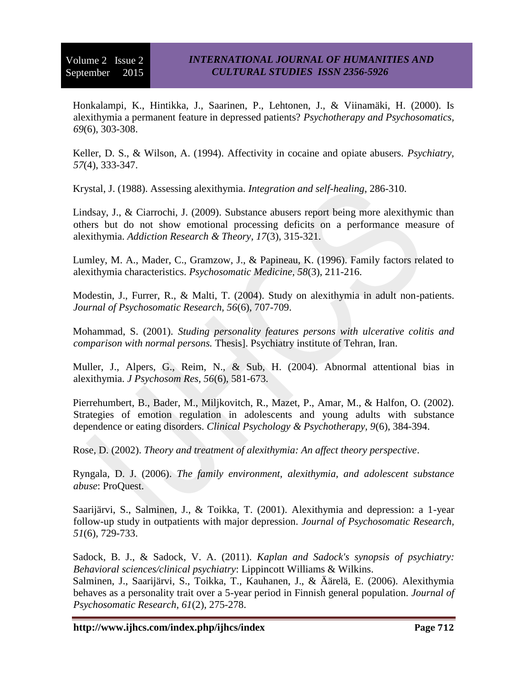<span id="page-7-13"></span>Honkalampi, K., Hintikka, J., Saarinen, P., Lehtonen, J., & Viinamäki, H. (2000). Is alexithymia a permanent feature in depressed patients? *Psychotherapy and Psychosomatics, 69*(6), 303-308.

<span id="page-7-1"></span>Keller, D. S., & Wilson, A. (1994). Affectivity in cocaine and opiate abusers. *Psychiatry, 57*(4), 333-347.

<span id="page-7-5"></span>Krystal, J. (1988). Assessing alexithymia. *Integration and self-healing*, 286-310.

<span id="page-7-6"></span>Lindsay, J., & Ciarrochi, J. (2009). Substance abusers report being more alexithymic than others but do not show emotional processing deficits on a performance measure of alexithymia. *Addiction Research & Theory, 17*(3), 315-321.

<span id="page-7-7"></span>Lumley, M. A., Mader, C., Gramzow, J., & Papineau, K. (1996). Family factors related to alexithymia characteristics. *Psychosomatic Medicine, 58*(3), 211-216.

<span id="page-7-3"></span>Modestin, J., Furrer, R., & Malti, T. (2004). Study on alexithymia in adult non-patients. *Journal of Psychosomatic Research, 56*(6), 707-709.

<span id="page-7-2"></span>Mohammad, S. (2001). *Studing personality features persons with ulcerative colitis and comparison with normal persons.* Thesis]. Psychiatry institute of Tehran, Iran.

<span id="page-7-4"></span>Muller, J., Alpers, G., Reim, N., & Sub, H. (2004). Abnormal attentional bias in alexithymia. *J Psychosom Res, 56*(6), 581-673.

<span id="page-7-8"></span>Pierrehumbert, B., Bader, M., Miljkovitch, R., Mazet, P., Amar, M., & Halfon, O. (2002). Strategies of emotion regulation in adolescents and young adults with substance dependence or eating disorders. *Clinical Psychology & Psychotherapy, 9*(6), 384-394.

<span id="page-7-10"></span><span id="page-7-9"></span>Rose, D. (2002). *Theory and treatment of alexithymia: An affect theory perspective*.

Ryngala, D. J. (2006). *The family environment, alexithymia, and adolescent substance abuse*: ProQuest.

<span id="page-7-11"></span>Saarijärvi, S., Salminen, J., & Toikka, T. (2001). Alexithymia and depression: a 1-year follow-up study in outpatients with major depression. *Journal of Psychosomatic Research, 51*(6), 729-733.

<span id="page-7-12"></span><span id="page-7-0"></span>Sadock, B. J., & Sadock, V. A. (2011). *Kaplan and Sadock's synopsis of psychiatry: Behavioral sciences/clinical psychiatry*: Lippincott Williams & Wilkins. Salminen, J., Saarijärvi, S., Toikka, T., Kauhanen, J., & Äärelä, E. (2006). Alexithymia behaves as a personality trait over a 5-year period in Finnish general population. *Journal of Psychosomatic Research, 61*(2), 275-278.